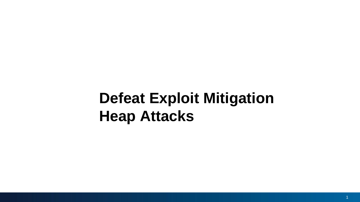# **Defeat Exploit Mitigation Heap Attacks**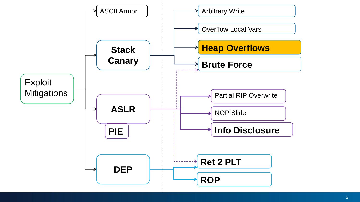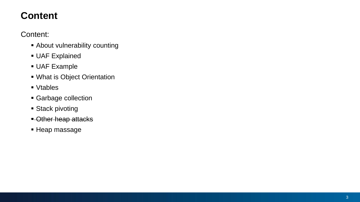#### **Content**

Content:

- **EXECUTE:** About vulnerability counting
- **· UAF Explained**
- **UAF Example**
- What is Object Orientation
- Vtables
- **Garbage collection**
- **Exercise Stack pivoting**
- **E**-Other heap attacks
- **E** Heap massage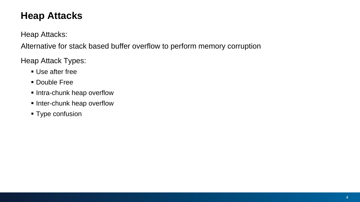#### **Heap Attacks**

Heap Attacks:

Alternative for stack based buffer overflow to perform memory corruption

Heap Attack Types:

- **Use after free**
- **Double Free**
- **.** Intra-chunk heap overflow
- **.** Inter-chunk heap overflow
- **Type confusion**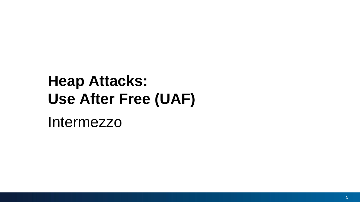# **Heap Attacks: Use After Free (UAF)**

Intermezzo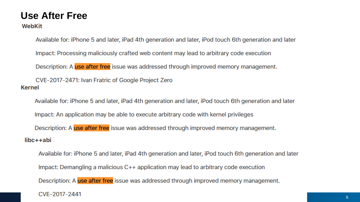#### **Use After Free**

WebKit

Available for: iPhone 5 and later, iPad 4th generation and later, iPod touch 6th generation and later

Impact: Processing maliciously crafted web content may lead to arbitrary code execution

Description: A use after free issue was addressed through improved memory management.

CVE-2017-2471: Ivan Fratric of Google Project Zero **Kernel** 

Available for: iPhone 5 and later, iPad 4th generation and later, iPod touch 6th generation and later

Impact: An application may be able to execute arbitrary code with kernel privileges

Description: A use after free issue was addressed through improved memory management.

 $libc++abi$ 

Available for: iPhone 5 and later, iPad 4th generation and later, iPod touch 6th generation and later Impact: Demangling a malicious C++ application may lead to arbitrary code execution Description: A use after free issue was addressed through improved memory management.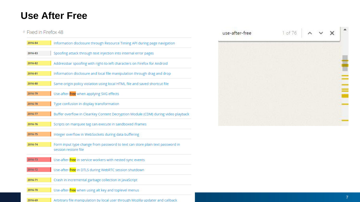#### **Use After Free**

#### # Fixed in Firefox 48

| 2016-84 | Information disclosure through Resource Timing API during page navigation                             |
|---------|-------------------------------------------------------------------------------------------------------|
| 2016-83 | Spoofing attack through text injection into internal error pages                                      |
| 2016-82 | Addressbar spoofing with right-to-left characters on Firefox for Android                              |
| 2016-81 | Information disclosure and local file manipulation through drag and drop                              |
| 2016-80 | Same-origin policy violation using local HTML file and saved shortcut file                            |
| 2016-79 | Use-after-free when applying SVG effects                                                              |
| 2016-78 | Type confusion in display transformation                                                              |
| 2016-77 | Buffer overflow in ClearKey Content Decryption Module (CDM) during video playback                     |
| 2016-76 | Scripts on marquee tag can execute in sandboxed iframes                                               |
| 2016-75 | Integer overflow in WebSockets during data buffering                                                  |
| 2016-74 | Form input type change from password to text can store plain text password in<br>session restore file |
| 2016-73 | Use-after- <i>free</i> in service workers with nested sync events                                     |
| 2016-72 | Use-after-free in DTLS during WebRTC session shutdown                                                 |
| 2016-71 | Crash in incremental garbage collection in JavaScript                                                 |
| 2016-70 | Use-after-free when using alt key and toplevel menus                                                  |
| 2016-69 | Arbitrary file manipulation by local user through Mozilla updater and callback                        |

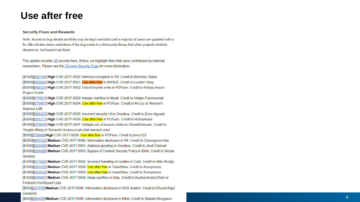#### **Use after free**

#### **Security Fixes and Rewards**

Note: Access to bug details and links may be kept restricted until a majority of users are updated with a fix. We will also retain restrictions if the bug exists in a third party library that other projects similarly depend on, but haven't yet fixed.

This update includes 36 security fixes. Below, we highlight fixes that were contributed by external researchers. Please see the Chrome Security Page for more information.

[\$7500][682194] High CVE-2017-5030: Memory corruption in V8. Credit to Brendon Tiszka [\$5000][682020] High CVE-2017-5031: Use after free in ANGLE. Credit to Looben Yang [\$3000][668724] High CVE-2017-5032: Out of bounds write in PDFium. Credit to Ashfaq Ansari -**Project Srishti** 

[\$3000][676623] High CVE-2017-5029: Integer overflow in libxslt. Credit to Holger Fuhrmannek [\$3000][678461] High CVE-2017-5034: Use after free in PDFium. Credit to Ke Liu of Tencent's Xuanwu LAB

[\$3000][688425] High CVE-2017-5035: Incorrect security UI in Omnibox. Credit to Enzo Aguado [\$3000][691371] High CVE-2017-5036: Use after free in PDFium. Credit to Anonymous [\$1000][679640] High CVE-2017-5037: Multiple out of bounds writes in ChunkDemuxer. Credit to Yongke Wang of Tencent's Xuanwu Lab (xlab.tencent.com)

[\$500][679649] High CVE-2017-5039: Use after free in PDFium. Credit to jinmo123

[\$2000][691323] Medium CVE-2017-5040: Information disclosure in V8. Credit to Choongwoo Han [\$1000][642490] Medium CVE-2017-5041: Address spoofing in Omnibox. Credit to Jordi Chancel [\$1000][669086] Medium CVE-2017-5033: Bypass of Content Security Policy in Blink. Credit to Nicolai Grødum

[\$1000][671932] Medium CVE-2017-5042: Incorrect handling of cookies in Cast. Credit to Mike Ruddy [\$1000][695476] Medium CVE-2017-5038: Use after free in GuestView. Credit to Anonymous

[\$1000][683523] Medium CVE-2017-5043: Use after free in GuestView. Credit to Anonymous

[\$1000][688987] Medium CVE-2017-5044: Heap overflow in Skia. Credit to Kushal Arvind Shah of **Fortinet's FortiGuard Labs** 

[\$500][667079] Medium CVE-2017-5045: Information disclosure in XSS Auditor. Credit to Dhaval Kapil (vampire)

[\$500][680409] Medium CVE-2017-5046: Information disclosure in Blink. Credit to Masato Kinugawa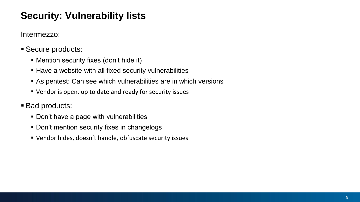#### **Security: Vulnerability lists**

Intermezzo:

- Secure products:
	- **EXECUTE IN MENTION SECUTILY fixes (don't hide it)**
	- Have a website with all fixed security vulnerabilities
	- **Example 1** As pentest: Can see which vulnerabilities are in which versions
	- Vendor is open, up to date and ready for security issues

#### ■ Bad products:

- Don't have a page with vulnerabilities
- **.** Don't mention security fixes in changelogs
- Vendor hides, doesn't handle, obfuscate security issues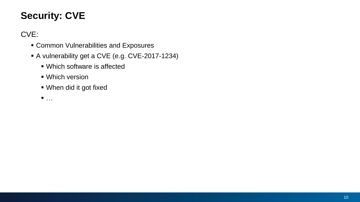### **Security: CVE**

CVE:

- **EXPOSURE:** Common Vulnerabilities and Exposures
- A vulnerability get a CVE (e.g. CVE-2017-1234)
	- Which software is affected
	- Which version
	- When did it got fixed

 $\blacksquare$  …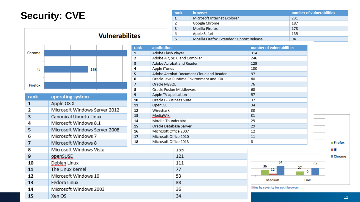### **Security: CVE**



| rank | operating system              | 9  | Apple |
|------|-------------------------------|----|-------|
|      |                               | 10 | Oracl |
| 1    | Apple OS X                    | 11 | Oper  |
| 2    | Microsoft Windows Server 2012 | 12 | Wire: |
| 3    | Canonical Ubuntu Linux        | 13 | Medi  |
| 4    | Microsoft Windows 8.1         | 14 | Mozi  |
| 5    | Microsoft Windows Server 2008 | 15 | Oracl |
|      |                               | 16 | Micro |
| 6    | Microsoft Windows 7           | 17 | Micro |
| 7    | Microsoft Windows 8           | 18 | Micro |
| 8    | Microsoft Windows Vista       |    |       |
| 9    | openSUSE                      |    |       |
| 10   | Debian Linux                  |    |       |
| 11   | The Linux Kernel              |    |       |
| 12   | Microsoft Windows 10          |    |       |
| 13   | Fedora Linux                  |    |       |
| 14   | Microsoft Windows 2003        |    |       |
| 15   | Xen OS                        |    |       |

| rank | <b>browser</b>                           | number of vulnerabilities |
|------|------------------------------------------|---------------------------|
|      | Microsoft Internet Explorer              | 231                       |
|      | Google Chrome                            | 187                       |
|      | Mozilla Firefox                          | 178                       |
|      | Apple Safari                             | 135                       |
|      | Mozilla Firefox Extended Support Release | 94                        |

| rank         | application             |                                         | number of vulnerabilities            |     |                        |
|--------------|-------------------------|-----------------------------------------|--------------------------------------|-----|------------------------|
| ${\bf 1}$    | Adobe Flash Player      |                                         | 314                                  |     |                        |
| $\mathbf{2}$ |                         | Adobe Air, SDK, and Compiler            | 246                                  |     |                        |
| 3            |                         | Adobe Acrobat and Reader                | 129                                  |     |                        |
| 4            | Apple iTunes            |                                         | 100                                  |     |                        |
| 5            |                         | Adobe Acrobat Document Cloud and Reader | 97                                   |     |                        |
| 6            |                         | Oracle Java Runtime Environment and JDK | 80                                   |     |                        |
| 7            | Oracle MySQL            |                                         | 76                                   |     |                        |
| 8            |                         | Oracle Fusion Middleware                | 68                                   |     |                        |
| 9            | Apple TV application    |                                         | 57                                   |     |                        |
| 10           | Oracle E-Business Suite |                                         | 37                                   |     |                        |
| 11           | OpenSSL                 |                                         | 34                                   |     |                        |
| 12           | Wireshark               |                                         | 33                                   |     |                        |
| 13           | MediaWiki               |                                         | 31                                   |     |                        |
| 14           | Mozilla Thunderbird     |                                         | 29                                   |     |                        |
| 15           | Oracle Database Server  |                                         | 29                                   |     |                        |
| 16           | Microsoft Office 2007   |                                         | 12                                   |     |                        |
| 17           | Microsoft Office 2010   |                                         | 11                                   |     |                        |
| 18           | Microsoft Office 2013   |                                         | 8                                    |     | $\blacksquare$ Firefox |
|              |                         | <b>L3D</b>                              |                                      |     | шE                     |
|              |                         |                                         |                                      |     |                        |
|              |                         | 121                                     |                                      |     | ■ Chrome               |
|              |                         | 111                                     | 64<br>36                             | 52  |                        |
|              |                         | 77                                      | 27<br>12                             | 0   |                        |
|              |                         | 53                                      |                                      |     |                        |
|              |                         | 38                                      | Medium                               | Low |                        |
|              |                         | 36                                      | ilities by severity for each browser |     |                        |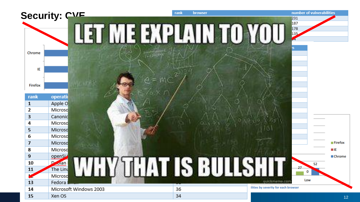|                | Security: CVE          | browser<br>rank       | number of vulnerabilities<br>231                                  |
|----------------|------------------------|-----------------------|-------------------------------------------------------------------|
|                |                        | <b>MEETAL LUVO</b>    | 187<br>178<br>135                                                 |
| Chrome         |                        |                       |                                                                   |
| IE             |                        |                       |                                                                   |
| Firefox        |                        |                       |                                                                   |
| rank           | operati                |                       |                                                                   |
| 1              | Apple O                |                       |                                                                   |
| 2              | Microso                |                       |                                                                   |
| 3              | Canonic                |                       |                                                                   |
| 4              | Microso                |                       |                                                                   |
| 5              | Microso                |                       |                                                                   |
| 6              | Microso                |                       |                                                                   |
| $\overline{ }$ | Microso                |                       | $\blacksquare$ Firefox                                            |
| 8              | Microso                |                       | $\blacksquare$ IE                                                 |
| 9              | openSL                 |                       | ■ Chrome                                                          |
| 10             | <b>Jan</b>             |                       | 52                                                                |
| 11             | The Linu               |                       | 0                                                                 |
|                | Microso                | <b>ULAT IS BULLSH</b> |                                                                   |
| 13             | Fedora                 |                       | Low<br><b><i><i><u><u><b>DESCRIPATION COM</b></u></u></i></i></b> |
| 14             | Microsoft Windows 2003 | 36                    | ilities by severity for each browser                              |
| 15             | Xen OS                 | 34                    | 12                                                                |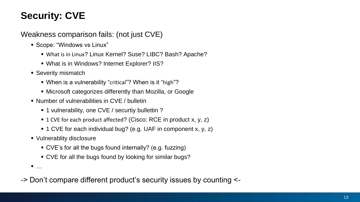## **Security: CVE**

Weakness comparison fails: (not just CVE)

- Scope: "Windows vs Linux"
	- What is in Linux? Linux Kernel? Suse? LIBC? Bash? Apache?
	- What is in Windows? Internet Explorer? IIS?
- **E** Severity mismatch
	- When is a vulnerability "critical"? When is it "high"?
	- Microsoft categorizes differently than Mozilla, or Google
- Number of vulnerabilities in CVE / bulletin
	- 1 vulnerability, one CVE / securtiy bullettin ?
	- 1 CVE for each product affected? (Cisco: RCE in product x, y, z)
	- 1 CVE for each individual bug? (e.g. UAF in component x, y, z)
- Vulnerablity disclosure
	- CVE's for all the bugs found internally? (e.g. fuzzing)
	- CVE for all the bugs found by looking for similar bugs?

▪ …

-> Don't compare different product's security issues by counting <-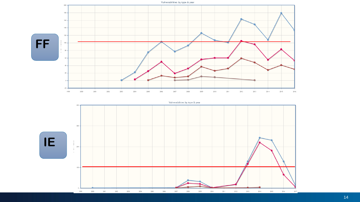

Vulnerabilities by type & year

**IE**

 $400 -$ 

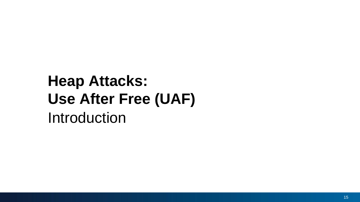# Introduction **Heap Attacks: Use After Free (UAF)**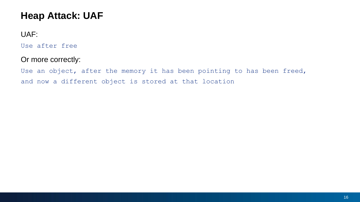#### UAF:

Use after free

#### Or more correctly:

Use an object, after the memory it has been pointing to has been freed, and now a different object is stored at that location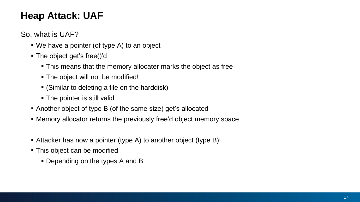So, what is UAF?

- We have a pointer (of type A) to an object
- The object get's free()'d
	- **This means that the memory allocater marks the object as free**
	- The object will not be modified!
	- (Similar to deleting a file on the harddisk)
	- The pointer is still valid
- Another object of type B (of the same size) get's allocated
- **EXED Memory allocator returns the previously free'd object memory space**
- Attacker has now a pointer (type A) to another object (type B)!
- This object can be modified
	- Depending on the types A and B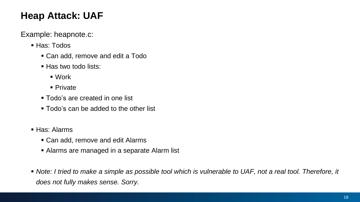Example: heapnote.c:

- Has: Todos
	- Can add, remove and edit a Todo
	- Has two todo lists:
		- Work
		- Private
	- Todo's are created in one list
	- Todo's can be added to the other list
- Has: Alarms
	- Can add, remove and edit Alarms
	- Alarms are managed in a separate Alarm list
- *Note: I tried to make a simple as possible tool which is vulnerable to UAF, not a real tool. Therefore, it does not fully makes sense. Sorry.*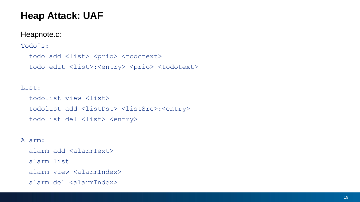#### Heapnote.c:

Todo's:

todo add <list> <prio> <todotext> todo edit <list>:<entry> <prio> <todotext>

#### List:

todolist view <list> todolist add <listDst> <listSrc>:<entry> todolist del <list> <entry>

Alarm:

alarm add <alarmText>

alarm list

alarm view <alarmIndex>

alarm del <alarmIndex>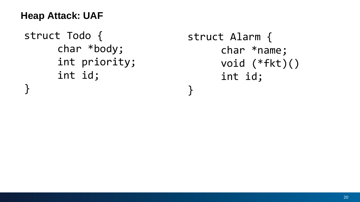```
struct Todo {
      char *body;
      int priority;
      int id;
}<br>|
```

```
struct Alarm {
     char *name;
     void (*fkt)()
     int id;
}
```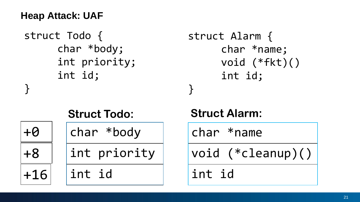```
struct Todo {
      char *body;
      int priority;
      int id;
}
                              }
```

```
struct Alarm {
     char *name;
     void (*fkt)()
     int id;
```

| <b>Struct Todo:</b> |              |  |
|---------------------|--------------|--|
| $+ \Theta$          | char *body   |  |
| +8                  | int priority |  |
| $+16$               | int id       |  |

## **Struct Alarm:**

char \*name

void (\*cleanup)()

int id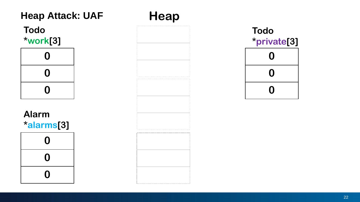

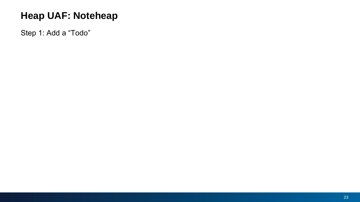Step 1: Add a "Todo"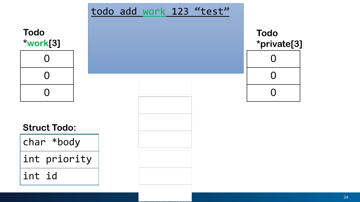

#### $\sim$ **Todo \*private[3]**

| U              |  |
|----------------|--|
| $\overline{O}$ |  |
| $\overline{O}$ |  |
|                |  |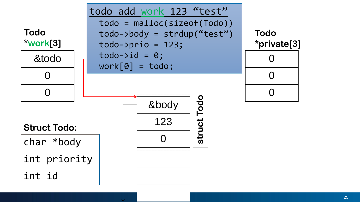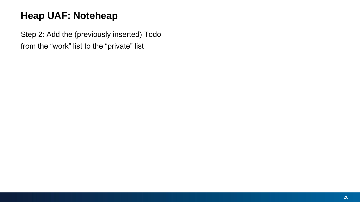Step 2: Add the (previously inserted) Todo from the "work" list to the "private" list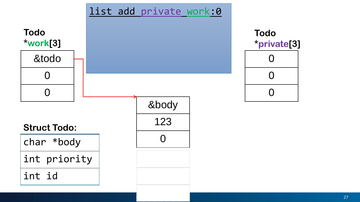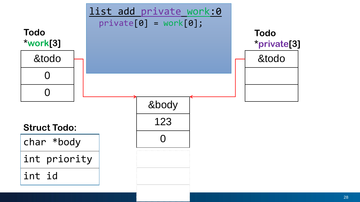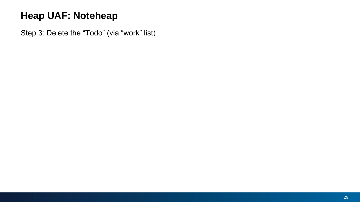Step 3: Delete the "Todo" (via "work" list)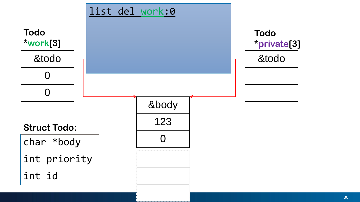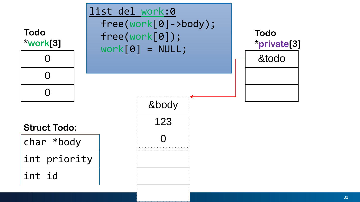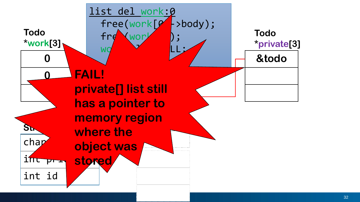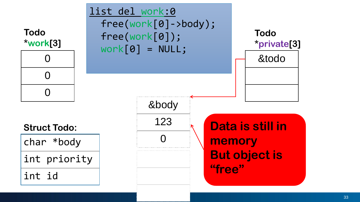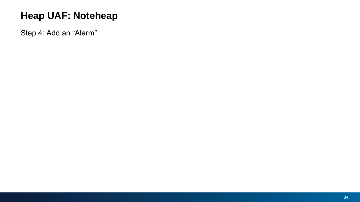Step 4: Add an "Alarm"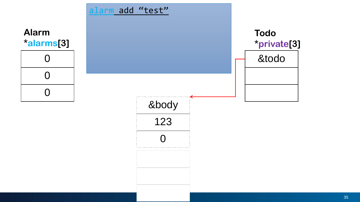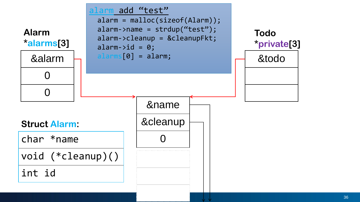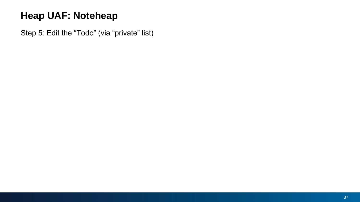Step 5: Edit the "Todo" (via "private" list)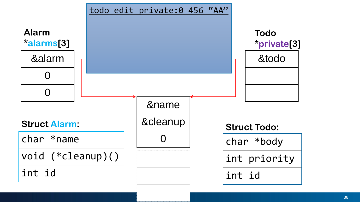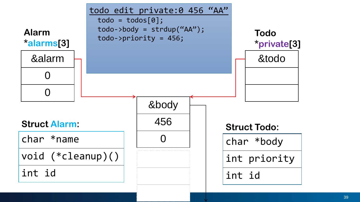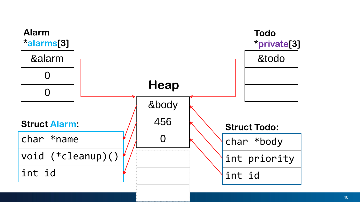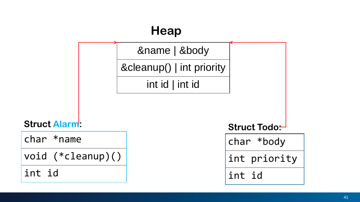

**Struct Alarm:**

char \*name

void (\*cleanup)()

int id

char \*body

int priority

int id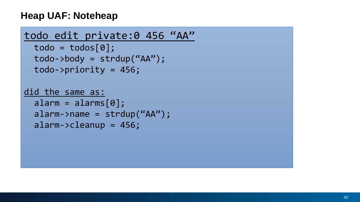```
todo edit private:0 456 "AA"
  todo = tools[0];todo->body = strdup("AA");
  todo->priority = 456;
did the same as:
  alarm = \text{alarms}[\theta];
  alarm->name = strdup('AA'');
  alarm->cleanup = 456;
```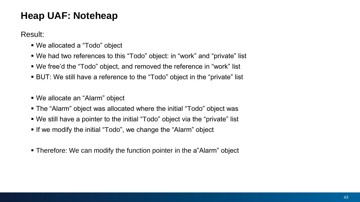Result:

- We allocated a "Todo" object
- We had two references to this "Todo" object: in "work" and "private" list
- We free'd the "Todo" object, and removed the reference in "work" list
- BUT: We still have a reference to the "Todo" object in the "private" list
- We allocate an "Alarm" object
- **The "Alarm" object was allocated where the initial "Todo" object was**
- We still have a pointer to the initial "Todo" object via the "private" list
- **.** If we modify the initial "Todo", we change the "Alarm" object
- **Therefore: We can modify the function pointer in the a"Alarm" object**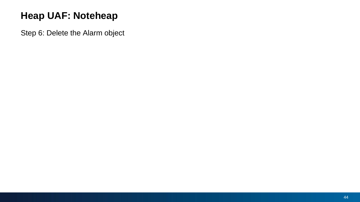Step 6: Delete the Alarm object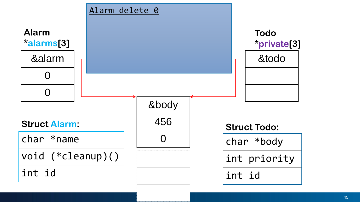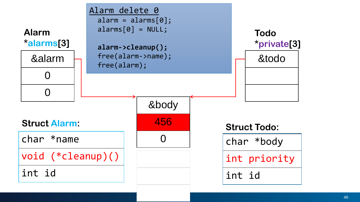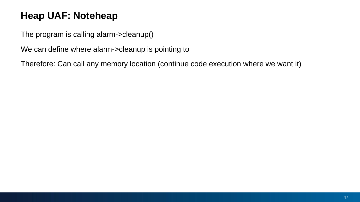The program is calling alarm->cleanup()

We can define where alarm->cleanup is pointing to

Therefore: Can call any memory location (continue code execution where we want it)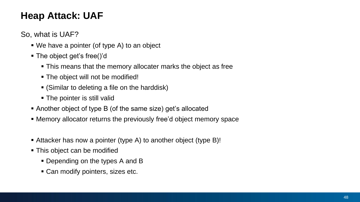So, what is UAF?

- We have a pointer (of type A) to an object
- The object get's free()'d
	- This means that the memory allocater marks the object as free
	- The object will not be modified!
	- (Similar to deleting a file on the harddisk)
	- The pointer is still valid
- Another object of type B (of the same size) get's allocated
- **EXED Memory allocator returns the previously free'd object memory space**
- Attacker has now a pointer (type A) to another object (type B)!
- This object can be modified
	- Depending on the types A and B
	- Can modify pointers, sizes etc.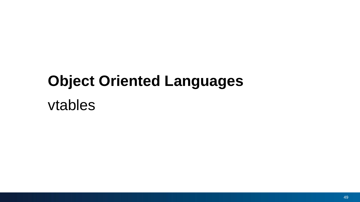# vtables **Object Oriented Languages**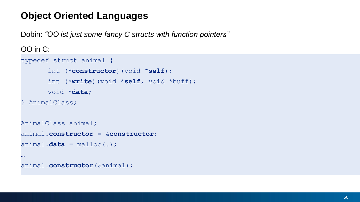Dobin: *"OO ist just some fancy C structs with function pointers"*

OO in C:

…

```
typedef struct animal {
      int (*constructor)(void *self);
       int (*write)(void *self, void *buff);
      void *data;
 AnimalClass;
AnimalClass animal;
animal.constructor = &constructor;
animal.data = malloc(...);
```

```
animal.constructor(&animal);
```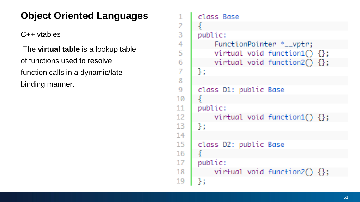2

3

4

5.

6

7

8

9

C++ vtables

The **virtual table** is a lookup table of functions used to resolve function calls in a dynamic/late binding manner.

```
class Base
     public:
          FunctionPointer *__vptr;
          virtual void function1() \{\};
          virtual void function2() \{\};
     };
     class D1: public Base
10
      ¥
     public:
11
          virtual void function1() \{\};
12<sub>1</sub>13
     };
1415
     class D2: public Base
16
     public:
17
          virtual void function2() \{\};
18
     35
19
```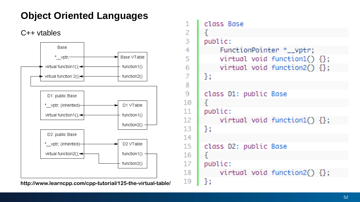C++ vtables



| $\mathbf{1}$   | class Base                        |
|----------------|-----------------------------------|
| $\overline{2}$ | ₹                                 |
| $\overline{3}$ | public:                           |
| 4              | FunctionPointer *__vptr;          |
| $\overline{5}$ | virtual void function1() $\{\}$ ; |
| $\overline{6}$ | virtual void function2() {};      |
| $\overline{I}$ | 3:                                |
| 8              |                                   |
| 9              | class D1: public Base             |
| 10             | $\mathcal{F}$                     |
| 11             | public:                           |
| 12             | virtual void function1() $\{\}$ ; |
| 13             | $\mathcal{H}$                     |
| 14             |                                   |
| 15             | class D2: public Base             |
| 16             | ş.                                |
| 17             | public:                           |
| 18             | virtual void function2() $\{\}$ ; |
| 19             | ł:                                |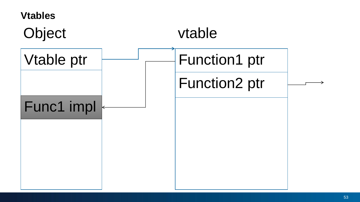#### **Vtables**

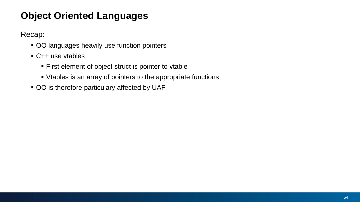Recap:

- OO languages heavily use function pointers
- C++ use vtables
	- First element of object struct is pointer to vtable
	- Vtables is an array of pointers to the appropriate functions
- OO is therefore particulary affected by UAF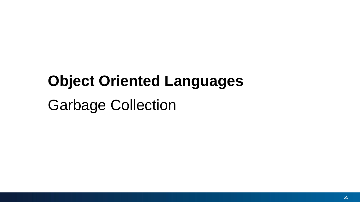Garbage Collection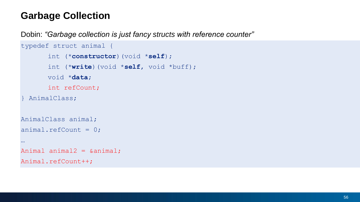#### **Garbage Collection**

Dobin: *"Garbage collection is just fancy structs with reference counter"*

```
typedef struct animal {
       int (*constructor)(void *self);
      int (*write)(void *self, void *buff);
      void *data;
      int refCount;
 AnimalClass;
AnimalClass animal;
animal.refCount = 0;
…
Animal animal2 = &animal;
Animal.refCount++;
```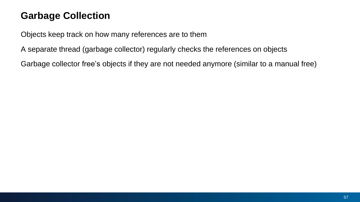#### **Garbage Collection**

Objects keep track on how many references are to them

A separate thread (garbage collector) regularly checks the references on objects

Garbage collector free's objects if they are not needed anymore (similar to a manual free)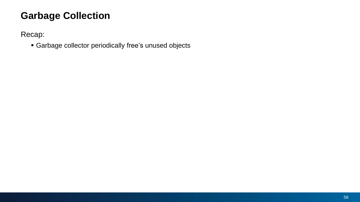#### **Garbage Collection**

Recap:

▪ Garbage collector periodically free's unused objects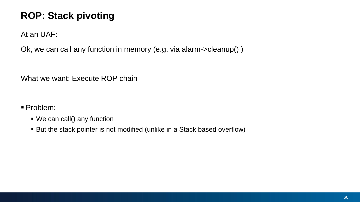At an UAF:

Ok, we can call any function in memory (e.g. via alarm->cleanup() )

What we want: Execute ROP chain

▪ Problem:

- We can call() any function
- But the stack pointer is not modified (unlike in a Stack based overflow)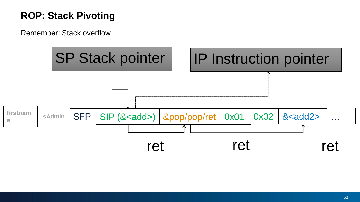Remember: Stack overflow

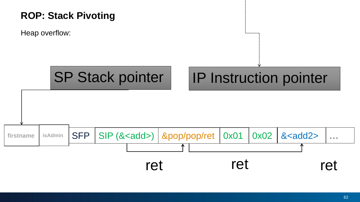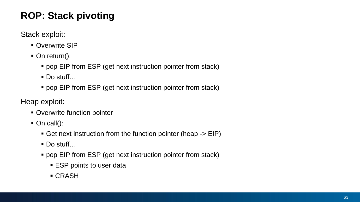Stack exploit:

- Overwrite SIP
- On return():
	- pop EIP from ESP (get next instruction pointer from stack)
	- Do stuff…
	- pop EIP from ESP (get next instruction pointer from stack)

Heap exploit:

- Overwrite function pointer
- $\blacksquare$  On call():
	- Get next instruction from the function pointer (heap -> EIP)
	- Do stuff…
	- pop EIP from ESP (get next instruction pointer from stack)
		- ESP points to user data
		- CRASH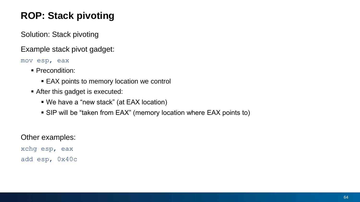Solution: Stack pivoting

Example stack pivot gadget:

mov esp, eax

- **Precondition:** 
	- EAX points to memory location we control
- **EXECUTE:** After this gadget is executed:
	- We have a "new stack" (at EAX location)
	- SIP will be "taken from EAX" (memory location where EAX points to)

#### Other examples:

xchg esp, eax add esp, 0x40c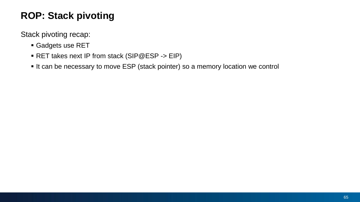Stack pivoting recap:

- **Gadgets use RET**
- RET takes next IP from stack (SIP@ESP -> EIP)
- It can be necessary to move ESP (stack pointer) so a memory location we control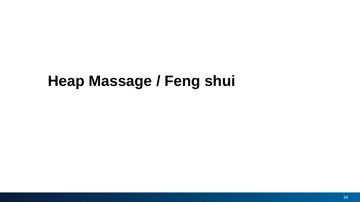## **Heap Massage / Feng shui**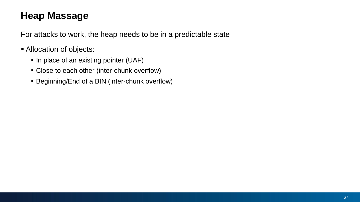#### **Heap Massage**

For attacks to work, the heap needs to be in a predictable state

- **E** Allocation of objects:
	- In place of an existing pointer (UAF)
	- **Example 2** Close to each other (inter-chunk overflow)
	- **Example 3 Billet** BIN (inter-chunk overflow)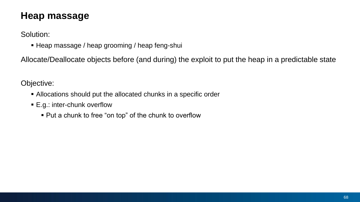#### **Heap massage**

Solution:

**EXTERP** Massage / heap grooming / heap feng-shui

Allocate/Deallocate objects before (and during) the exploit to put the heap in a predictable state

Objective:

- **EXTER Allocations should put the allocated chunks in a specific order**
- E.g.: inter-chunk overflow
	- Put a chunk to free "on top" of the chunk to overflow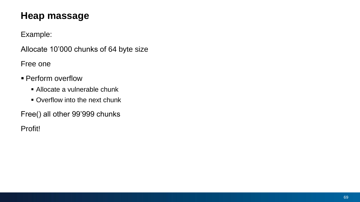#### **Heap massage**

Example:

Allocate 10'000 chunks of 64 byte size

Free one

- **Perform overflow** 
	- Allocate a vulnerable chunk
	- Overflow into the next chunk

Free() all other 99'999 chunks

Profit!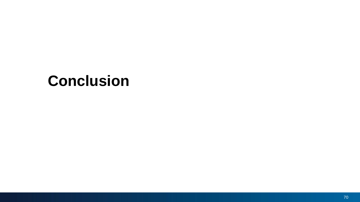## **Conclusion**